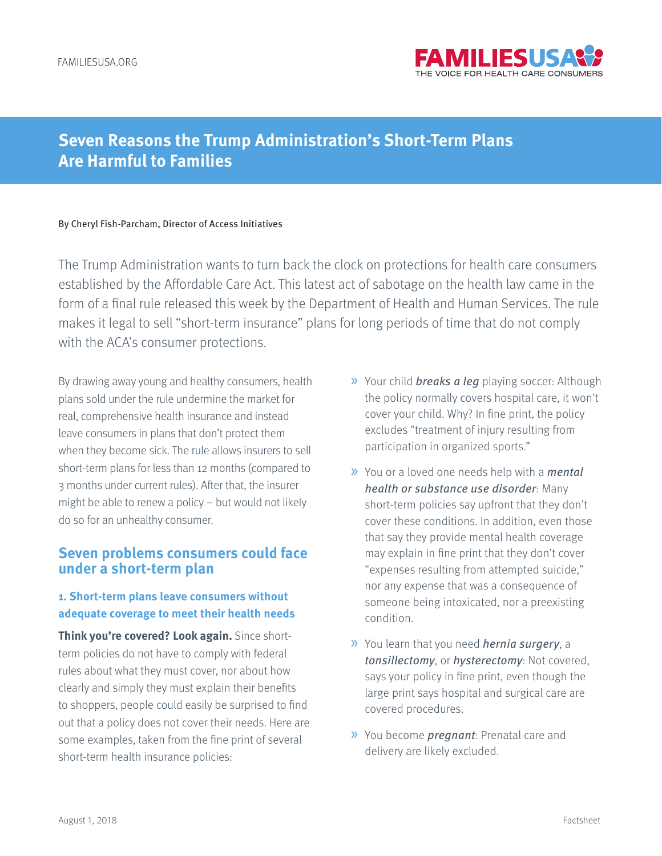

# **Seven Reasons the Trump Administration's Short-Term Plans Are Harmful to Families**

#### By Cheryl Fish-Parcham, Director of Access Initiatives

The Trump Administration wants to turn back the clock on protections for health care consumers established by the Affordable Care Act. This latest act of sabotage on the health law came in the form of a final rule released this week by the Department of Health and Human Services. The rule makes it legal to sell "short-term insurance" plans for long periods of time that do not comply with the ACA's consumer protections.

By drawing away young and healthy consumers, health plans sold under the rule undermine the market for real, comprehensive health insurance and instead leave consumers in plans that don't protect them when they become sick. The rule allows insurers to sell short-term plans for less than 12 months (compared to 3 months under current rules). After that, the insurer might be able to renew a policy – but would not likely do so for an unhealthy consumer.

# **Seven problems consumers could face under a short-term plan**

#### **1. Short-term plans leave consumers without adequate coverage to meet their health needs**

**Think you're covered? Look again.** Since shortterm policies do not have to comply with federal rules about what they must cover, nor about how clearly and simply they must explain their benefits to shoppers, people could easily be surprised to find out that a policy does not cover their needs. Here are some examples, taken from the fine print of several short-term health insurance policies:

- » Your child breaks a leg playing soccer: Although the policy normally covers hospital care, it won't cover your child. Why? In fine print, the policy excludes "treatment of injury resulting from participation in organized sports."
- » You or a loved one needs help with a mental health or substance use disorder: Many short-term policies say upfront that they don't cover these conditions. In addition, even those that say they provide mental health coverage may explain in fine print that they don't cover "expenses resulting from attempted suicide," nor any expense that was a consequence of someone being intoxicated, nor a preexisting condition.
- » You learn that you need hernia surgery, a tonsillectomy, or hysterectomy: Not covered, says your policy in fine print, even though the large print says hospital and surgical care are covered procedures.
- » You become pregnant: Prenatal care and delivery are likely excluded.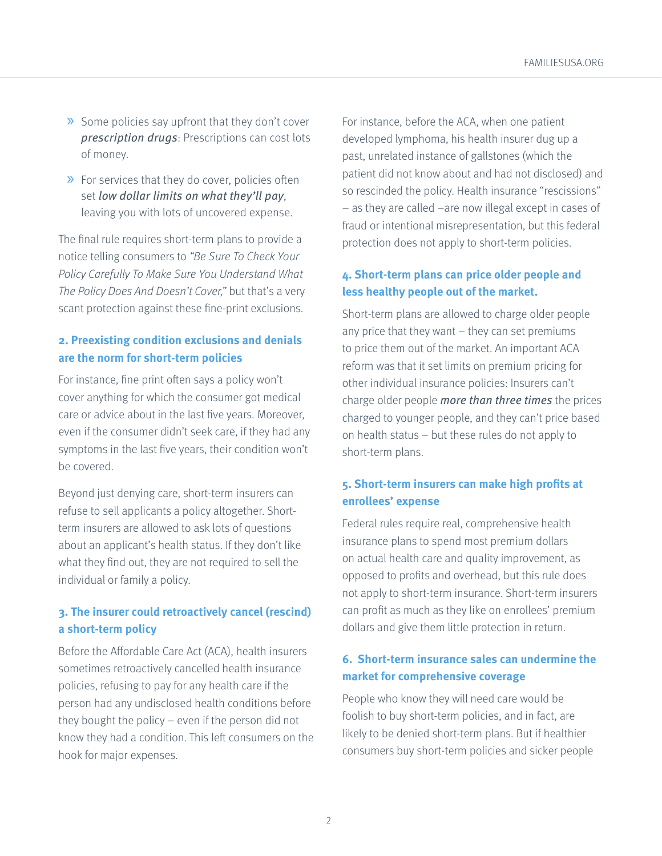- » Some policies say upfront that they don't cover prescription drugs: Prescriptions can cost lots of money.
- » For services that they do cover, policies often set low dollar limits on what they'll pay, leaving you with lots of uncovered expense.

The final rule requires short-term plans to provide a notice telling consumers to "Be Sure To Check Your Policy Carefully To Make Sure You Understand What The Policy Does And Doesn't Cover," but that's a very scant protection against these fine-print exclusions.

# **2. Preexisting condition exclusions and denials are the norm for short-term policies**

For instance, fine print often says a policy won't cover anything for which the consumer got medical care or advice about in the last five years. Moreover, even if the consumer didn't seek care, if they had any symptoms in the last five years, their condition won't be covered.

Beyond just denying care, short-term insurers can refuse to sell applicants a policy altogether. Shortterm insurers are allowed to ask lots of questions about an applicant's health status. If they don't like what they find out, they are not required to sell the individual or family a policy.

# **3. The insurer could retroactively cancel (rescind) a short-term policy**

Before the Affordable Care Act (ACA), health insurers sometimes retroactively cancelled health insurance policies, refusing to pay for any health care if the person had any undisclosed health conditions before they bought the policy – even if the person did not know they had a condition. This left consumers on the hook for major expenses.

For instance, before the ACA, when one patient developed lymphoma, his health insurer dug up a past, unrelated instance of gallstones (which the patient did not know about and had not disclosed) and so rescinded the policy. Health insurance "rescissions" – as they are called –are now illegal except in cases of fraud or intentional misrepresentation, but this federal protection does not apply to short-term policies.

#### **4. Short-term plans can price older people and less healthy people out of the market.**

Short-term plans are allowed to charge older people any price that they want – they can set premiums to price them out of the market. An important ACA reform was that it set limits on premium pricing for other individual insurance policies: Insurers can't charge older people more than three times the prices charged to younger people, and they can't price based on health status – but these rules do not apply to short-term plans.

# **5. Short-term insurers can make high profits at enrollees' expense**

Federal rules require real, comprehensive health insurance plans to spend most premium dollars on actual health care and quality improvement, as opposed to profits and overhead, but this rule does not apply to short-term insurance. Short-term insurers can profit as much as they like on enrollees' premium dollars and give them little protection in return.

# **6. Short-term insurance sales can undermine the market for comprehensive coverage**

People who know they will need care would be foolish to buy short-term policies, and in fact, are likely to be denied short-term plans. But if healthier consumers buy short-term policies and sicker people